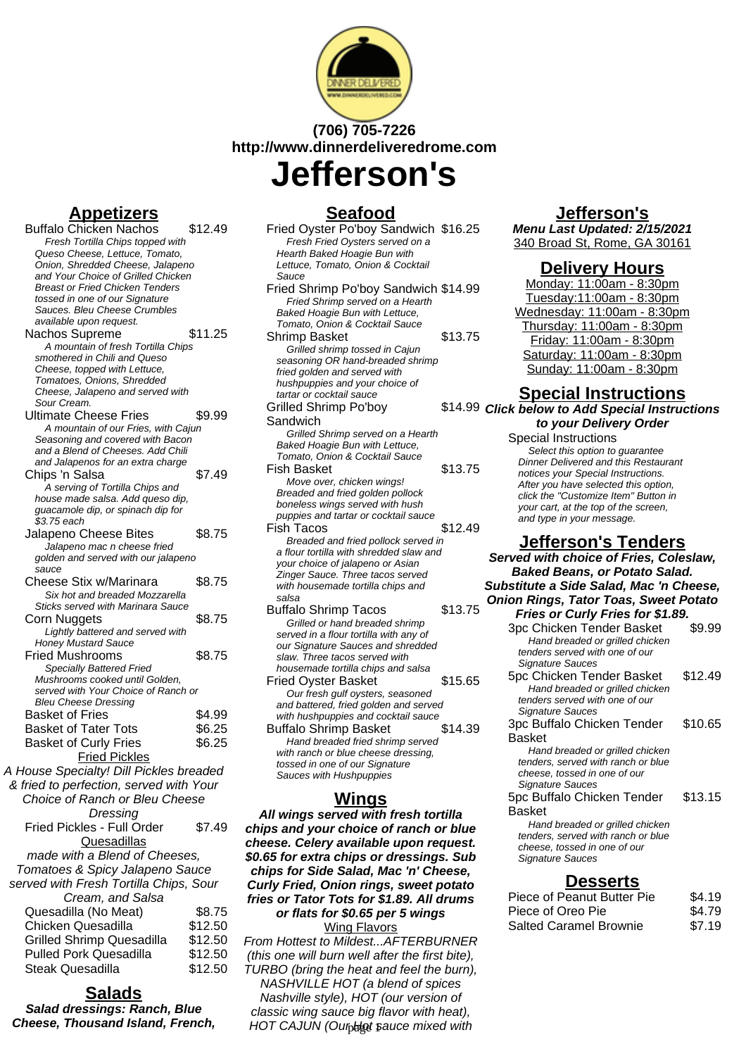

# **(706) 705-7226 http://www.dinnerdeliveredrome.com**

**Jefferson's**

## **Appetizers**

Buffalo Chicken Nachos \$12.49 Fresh Tortilla Chips topped with Queso Cheese, Lettuce, Tomato, Onion, Shredded Cheese, Jalapeno and Your Choice of Grilled Chicken Breast or Fried Chicken Tenders tossed in one of our Signature Sauces. Bleu Cheese Crumbles available upon request. Nachos Supreme \$11.25 A mountain of fresh Tortilla Chips smothered in Chili and Queso Cheese, topped with Lettuce, Tomatoes, Onions, Shredded Cheese, Jalapeno and served with Sour Cream. Ultimate Cheese Fries \$9.99 A mountain of our Fries, with Cajun Seasoning and covered with Bacon and a Blend of Cheeses. Add Chili and Jalapenos for an extra charge Chips 'n Salsa \$7.49 .<br>A serving of Tortilla Chips and house made salsa. Add queso dip, guacamole dip, or spinach dip for \$3.75 each Jalapeno Cheese Bites \$8.75 Jalapeno mac n cheese fried golden and served with our jalapeno sauce Cheese Stix w/Marinara \$8.75 Six hot and breaded Mozzarella Sticks served with Marinara Sauce Corn Nuggets \$8.75 Lightly battered and served with Honey Mustard Sauce Fried Mushrooms \$8.75 Specially Battered Fried Mushrooms cooked until Golden, served with Your Choice of Ranch or Bleu Cheese Dressing Basket of Fries \$4.99 Basket of Tater Tots \$6.25 Basket of Curly Fries \$6.25 Fried Pickles A House Specialty! Dill Pickles breaded & fried to perfection, served with Your Choice of Ranch or Bleu Cheese

| Dressing                               |         |
|----------------------------------------|---------|
| Fried Pickles - Full Order             | \$7.49  |
| Quesadillas                            |         |
| made with a Blend of Cheeses,          |         |
| Tomatoes & Spicy Jalapeno Sauce        |         |
| served with Fresh Tortilla Chips, Sour |         |
| Cream, and Salsa                       |         |
| Quesadilla (No Meat)                   | \$8.75  |
| Chicken Quesadilla                     | \$12.50 |
| <b>Grilled Shrimp Quesadilla</b>       | \$12.50 |
| <b>Pulled Pork Quesadilla</b>          | \$12.50 |
| Steak Quesadilla                       | \$12.50 |

#### **Salads**

**Salad dressings: Ranch, Blue Cheese, Thousand Island, French,**

# **Seafood**

| Fried Oyster Po'boy Sandwich \$16.25<br>Fresh Fried Oysters served on a                                   |         |
|-----------------------------------------------------------------------------------------------------------|---------|
| Hearth Baked Hoagie Bun with                                                                              |         |
| Lettuce, Tomato, Onion & Cocktail                                                                         |         |
| Sauce                                                                                                     |         |
| Fried Shrimp Po'boy Sandwich \$14.99<br>Fried Shrimp served on a Hearth<br>Baked Hoagie Bun with Lettuce, |         |
| Tomato, Onion & Cocktail Sauce                                                                            |         |
| Shrimp Basket                                                                                             | \$13.75 |
| Grilled shrimp tossed in Cajun                                                                            |         |
| seasoning OR hand-breaded shrimp                                                                          |         |
| fried golden and served with                                                                              |         |
| hushpuppies and your choice of                                                                            |         |
| tartar or cocktail sauce                                                                                  |         |
| <b>Grilled Shrimp Po'boy</b>                                                                              | \$14.99 |
| Sandwich                                                                                                  |         |
| Grilled Shrimp served on a Hearth                                                                         |         |
| Baked Hoagie Bun with Lettuce,                                                                            |         |
| Tomato, Onion & Cocktail Sauce                                                                            |         |
| Fish Basket                                                                                               | \$13.75 |
| Move over, chicken wings!                                                                                 |         |
| Breaded and fried golden pollock                                                                          |         |
| boneless wings served with hush                                                                           |         |
| puppies and tartar or cocktail sauce                                                                      |         |
| Fish Tacos                                                                                                | \$12.49 |
| Breaded and fried pollock served in                                                                       |         |
| a flour tortilla with shredded slaw and                                                                   |         |
| your choice of jalapeno or Asian<br>Zinger Sauce. Three tacos served                                      |         |
| with housemade tortilla chips and                                                                         |         |
| salsa                                                                                                     |         |
| Buffalo Shrimp Tacos                                                                                      | \$13.75 |
| Grilled or hand breaded shrimp                                                                            |         |
| served in a flour tortilla with any of                                                                    |         |
| our Signature Sauces and shredded                                                                         |         |
| slaw. Three tacos served with                                                                             |         |
| housemade tortilla chips and salsa                                                                        |         |
| Fried Oyster Basket                                                                                       | \$15.65 |
| Our fresh gulf oysters, seasoned                                                                          |         |
| and battered, fried golden and served                                                                     |         |
| with hushpuppies and cocktail sauce                                                                       |         |
| <b>Buffalo Shrimp Basket</b>                                                                              | \$14.39 |
| Hand breaded fried shrimp served                                                                          |         |
| with ranch or blue cheese dressing,                                                                       |         |
| tossed in one of our Sianature                                                                            |         |

## **Wings**

Sauces with Hushpuppies

**All wings served with fresh tortilla chips and your choice of ranch or blue cheese. Celery available upon request. \$0.65 for extra chips or dressings. Sub chips for Side Salad, Mac 'n' Cheese, Curly Fried, Onion rings, sweet potato fries or Tator Tots for \$1.89. All drums or flats for \$0.65 per 5 wings Wing Flavors** 

From Hottest to Mildest...AFTERBURNER (this one will burn well after the first bite), TURBO (bring the heat and feel the burn), NASHVILLE HOT (a blend of spices

Nashville style), HOT (our version of classic wing sauce big flavor with heat), HOT CAJUN (Ourphlot sauce mixed with

### **Jefferson's**

**Menu Last Updated: 2/15/2021** 340 Broad St, Rome, GA 30161

### **Delivery Hours**

Monday: 11:00am - 8:30pm Tuesday:11:00am - 8:30pm Wednesday: 11:00am - 8:30pm Thursday: 11:00am - 8:30pm Friday: 11:00am - 8:30pm Saturday: 11:00am - 8:30pm Sunday: 11:00am - 8:30pm

## **Special Instructions**

**Click below to Add Special Instructions to your Delivery Order**

Special Instructions Select this option to quarantee Dinner Delivered and this Restaurant notices your Special Instructions. After you have selected this option, click the "Customize Item" Button in your cart, at the top of the screen, and type in your message.

### **Jefferson's Tenders**

**Served with choice of Fries, Coleslaw, Baked Beans, or Potato Salad. Substitute a Side Salad, Mac 'n Cheese, Onion Rings, Tator Toas, Sweet Potato Fries or Curly Fries for \$1.89.**

| 3pc Chicken Tender Basket<br>Hand breaded or grilled chicken                                                              | \$9.99  |
|---------------------------------------------------------------------------------------------------------------------------|---------|
| tenders served with one of our                                                                                            |         |
| Signature Sauces                                                                                                          |         |
| 5pc Chicken Tender Basket                                                                                                 | \$12.49 |
| Hand breaded or grilled chicken                                                                                           |         |
| tenders served with one of our                                                                                            |         |
| Signature Sauces                                                                                                          |         |
| 3pc Buffalo Chicken Tender                                                                                                | \$10.65 |
| Basket                                                                                                                    |         |
| Hand breaded or grilled chicken                                                                                           |         |
| tenders, served with ranch or blue                                                                                        |         |
| cheese, tossed in one of our                                                                                              |         |
| Signature Sauces                                                                                                          |         |
| 5pc Buffalo Chicken Tender                                                                                                | \$13.15 |
| Basket                                                                                                                    |         |
| Hand breaded or grilled chicken<br>tenders, served with ranch or blue<br>cheese, tossed in one of our<br>Signature Sauces |         |
|                                                                                                                           |         |

#### **Desserts**

| Piece of Peanut Butter Pie    | \$4.19 |
|-------------------------------|--------|
| Piece of Oreo Pie             | \$4.79 |
| <b>Salted Caramel Brownie</b> | \$7.19 |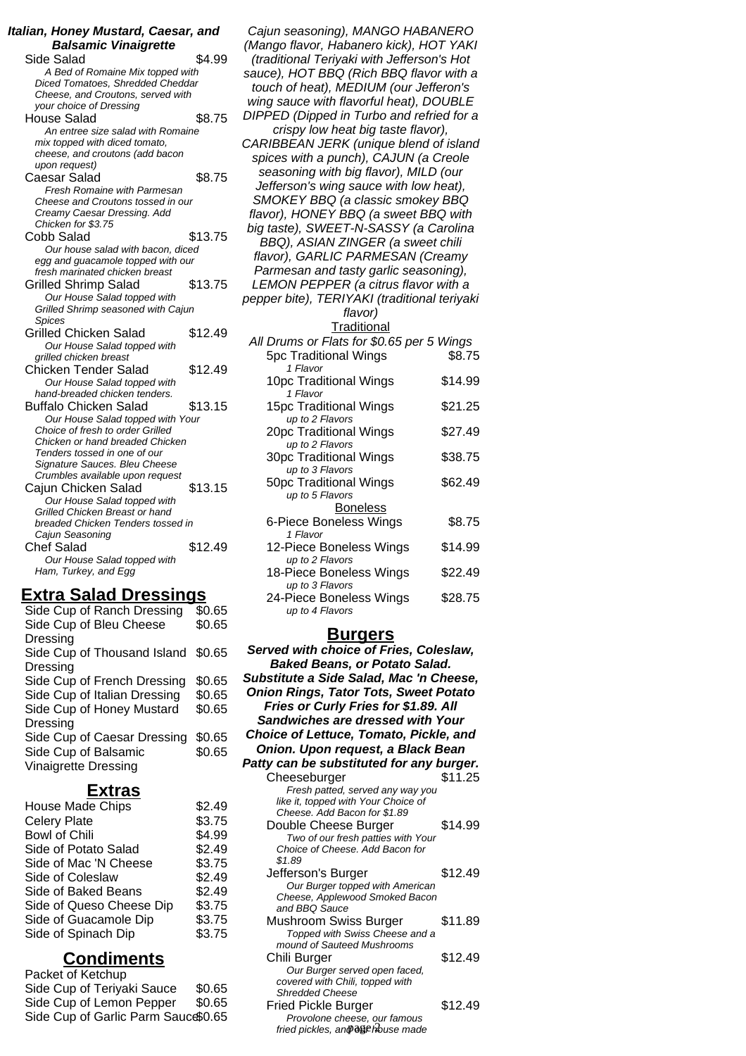| Italian, Honey Mustard, Caesar, and<br><b>Balsamic Vinaigrette</b> |         |  |
|--------------------------------------------------------------------|---------|--|
| Side Salad                                                         | \$4.99  |  |
| A Bed of Romaine Mix topped with                                   |         |  |
| Diced Tomatoes, Shredded Cheddar                                   |         |  |
| Cheese, and Croutons, served with                                  |         |  |
| your choice of Dressing                                            |         |  |
| <b>House Salad</b>                                                 | \$8.75  |  |
| An entree size salad with Romaine                                  |         |  |
| mix topped with diced tomato,                                      |         |  |
| cheese, and croutons (add bacon                                    |         |  |
| upon request)                                                      |         |  |
| Caesar Salad                                                       | \$8.75  |  |
| <b>Fresh Romaine with Parmesan</b>                                 |         |  |
| Cheese and Croutons tossed in our                                  |         |  |
| Creamy Caesar Dressing. Add                                        |         |  |
| Chicken for \$3.75                                                 |         |  |
| Cobb Salad                                                         | \$13.75 |  |
| Our house salad with bacon, diced                                  |         |  |
| egg and guacamole topped with our                                  |         |  |
| fresh marinated chicken breast                                     |         |  |
| <b>Grilled Shrimp Salad</b>                                        | \$13.75 |  |
| Our House Salad topped with                                        |         |  |
| Grilled Shrimp seasoned with Cajun                                 |         |  |
| Spices                                                             |         |  |
| Grilled Chicken Salad                                              | \$12.49 |  |
| Our House Salad topped with                                        |         |  |
| grilled chicken breast                                             |         |  |
| Chicken Tender Salad                                               | \$12.49 |  |
| Our House Salad topped with                                        |         |  |
| hand-breaded chicken tenders.                                      |         |  |
| <b>Buffalo Chicken Salad</b>                                       | \$13.15 |  |
| Our House Salad topped with Your                                   |         |  |
| Choice of fresh to order Grilled                                   |         |  |
| Chicken or hand breaded Chicken                                    |         |  |
| Tenders tossed in one of our                                       |         |  |
| Signature Sauces. Bleu Cheese                                      |         |  |
| Crumbles available upon request                                    |         |  |
| Cajun Chicken Salad                                                | \$13.15 |  |
| Our House Salad topped with                                        |         |  |
| Grilled Chicken Breast or hand                                     |         |  |
| breaded Chicken Tenders tossed in                                  |         |  |
| Cajun Seasoning                                                    |         |  |
| Chef Salad                                                         | \$12.49 |  |
| Our House Salad topped with                                        |         |  |
| Ham, Turkey, and Egg                                               |         |  |
|                                                                    |         |  |

## **Extra Salad Dressings**

| Side Cup of Ranch Dressing         | \$0.65 |
|------------------------------------|--------|
| Side Cup of Bleu Cheese            | \$0.65 |
| Dressing                           |        |
| Side Cup of Thousand Island \$0.65 |        |
| Dressing                           |        |
| Side Cup of French Dressing        | \$0.65 |
| Side Cup of Italian Dressing       | \$0.65 |
| Side Cup of Honey Mustard          | \$0.65 |
| Dressing                           |        |
| Side Cup of Caesar Dressing        | \$0.65 |
| Side Cup of Balsamic               | \$0.65 |
| <b>Vinaigrette Dressing</b>        |        |
|                                    |        |

# **Extras**

| <b>House Made Chips</b>  | \$2.49 |
|--------------------------|--------|
| <b>Celery Plate</b>      | \$3.75 |
| <b>Bowl of Chili</b>     | \$4.99 |
| Side of Potato Salad     | \$2.49 |
| Side of Mac 'N Cheese    | \$3.75 |
| Side of Coleslaw         | \$2.49 |
| Side of Baked Beans      | \$2.49 |
| Side of Queso Cheese Dip | \$3.75 |
| Side of Guacamole Dip    | \$3.75 |
| Side of Spinach Dip      | \$3.75 |
|                          |        |

# **Condiments**

| Packet of Ketchup                   |        |
|-------------------------------------|--------|
| Side Cup of Teriyaki Sauce          | \$0.65 |
| Side Cup of Lemon Pepper            | \$0.65 |
| Side Cup of Garlic Parm Sauce\$0.65 |        |

| Cajun seasoning), MANGO HABANERO                                           |         |
|----------------------------------------------------------------------------|---------|
| (Mango flavor, Habanero kick), HOT YAKI                                    |         |
| (traditional Teriyaki with Jefferson's Hot                                 |         |
| sauce), HOT BBQ (Rich BBQ flavor with a                                    |         |
| touch of heat), MEDIUM (our Jefferon's                                     |         |
| wing sauce with flavorful heat), DOUBLE                                    |         |
| DIPPED (Dipped in Turbo and refried for a                                  |         |
| crispy low heat big taste flavor),                                         |         |
| CARIBBEAN JERK (unique blend of island                                     |         |
| spices with a punch), CAJUN (a Creole                                      |         |
| seasoning with big flavor), MILD (our                                      |         |
| Jefferson's wing sauce with low heat),<br>SMOKEY BBQ (a classic smokey BBQ |         |
| flavor), HONEY BBQ (a sweet BBQ with                                       |         |
| big taste), SWEET-N-SASSY (a Carolina                                      |         |
| BBQ), ASIAN ZINGER (a sweet chili                                          |         |
| flavor), GARLIC PARMESAN (Creamy                                           |         |
| Parmesan and tasty garlic seasoning),                                      |         |
| LEMON PEPPER (a citrus flavor with a                                       |         |
| pepper bite), TERIYAKI (traditional teriyaki                               |         |
| flavor)                                                                    |         |
| Traditional                                                                |         |
| All Drums or Flats for \$0.65 per 5 Wings                                  |         |
| <b>5pc Traditional Wings</b>                                               | \$8.75  |
| 1 Flavor                                                                   |         |
| 10pc Traditional Wings                                                     | \$14.99 |
| 1 Flavor                                                                   |         |
| 15pc Traditional Wings                                                     | \$21.25 |
| up to 2 Flavors<br>20pc Traditional Wings                                  | \$27.49 |
| up to 2 Flavors                                                            |         |
| 30pc Traditional Wings                                                     | \$38.75 |
| up to 3 Flavors                                                            |         |
| 50pc Traditional Wings                                                     | \$62.49 |
| up to 5 Flavors                                                            |         |
| <b>Boneless</b>                                                            |         |
| 6-Piece Boneless Wings                                                     | \$8.75  |
| 1 Flavor<br>12-Piece Boneless Wings                                        | \$14.99 |
| up to 2 Flavors                                                            |         |
| 18-Piece Boneless Wings                                                    | \$22.49 |
| up to 3 Flavors                                                            |         |
| 24-Piece Boneless Wings                                                    | \$28.75 |
| up to 4 Flavors                                                            |         |

# **Burgers**

| Served with choice of Fries, Coleslaw,<br><b>Baked Beans, or Potato Salad.</b><br>Substitute a Side Salad, Mac 'n Cheese,<br><b>Onion Rings, Tator Tots, Sweet Potato</b><br>Fries or Curly Fries for \$1.89. All<br>Sandwiches are dressed with Your<br><b>Choice of Lettuce, Tomato, Pickle, and</b> |         |
|--------------------------------------------------------------------------------------------------------------------------------------------------------------------------------------------------------------------------------------------------------------------------------------------------------|---------|
| Onion. Upon request, a Black Bean                                                                                                                                                                                                                                                                      |         |
| Patty can be substituted for any burger.                                                                                                                                                                                                                                                               |         |
| Cheeseburger                                                                                                                                                                                                                                                                                           | \$11.25 |
| Fresh patted, served any way you<br>like it, topped with Your Choice of<br>Cheese. Add Bacon for \$1.89<br>Double Cheese Burger                                                                                                                                                                        | \$14.99 |
| Two of our fresh patties with Your<br>Choice of Cheese. Add Bacon for<br>\$1.89                                                                                                                                                                                                                        |         |
| Jefferson's Burger<br>Our Burger topped with American<br>Cheese, Applewood Smoked Bacon<br>and BBQ Sauce                                                                                                                                                                                               | \$12.49 |
| Mushroom Swiss Burger<br>Topped with Swiss Cheese and a<br>mound of Sauteed Mushrooms                                                                                                                                                                                                                  | \$11.89 |
| Chili Burger<br>Our Burger served open faced,<br>covered with Chili, topped with<br><b>Shredded Cheese</b>                                                                                                                                                                                             | \$12.49 |
| <b>Fried Pickle Burger</b><br>Provolone cheese, our famous<br>fried pickles, an���� house made                                                                                                                                                                                                         | \$12.49 |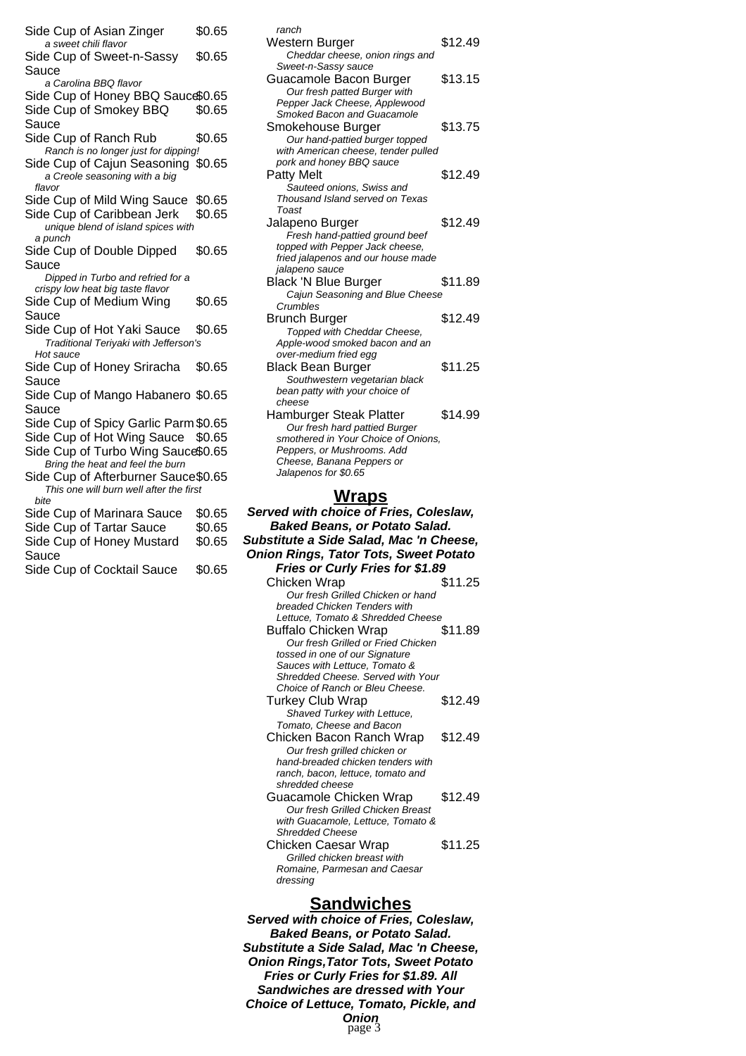- Side Cup of Asian Zinger \$0.65 a sweet chili flavor Side Cup of Sweet-n-Sassy Sauce \$0.65 a Carolina BBQ flavor Side Cup of Honey BBQ Sauce\$0.65 Side Cup of Smokey BBQ Sauce \$0.65 Side Cup of Ranch Rub \$0.65 Ranch is no longer just for dipping! Side Cup of Cajun Seasoning \$0.65 a Creole seasoning with a big flavor Side Cup of Mild Wing Sauce \$0.65 Side Cup of Caribbean Jerk \$0.65 unique blend of island spices with a punch Side Cup of Double Dipped Sauce \$0.65 Dipped in Turbo and refried for a crispy low heat big taste flavor Side Cup of Medium Wing Sauce \$0.65 Side Cup of Hot Yaki Sauce \$0.65 Traditional Teriyaki with Jefferson's Hot sauce Side Cup of Honey Sriracha Sauce \$0.65 Side Cup of Mango Habanero \$0.65 Sauce Side Cup of Spicy Garlic Parm \$0.65 Side Cup of Hot Wing Sauce \$0.65 Side Cup of Turbo Wing Sauce\$0.65 Bring the heat and feel the burn Side Cup of Afterburner Sauce\$0.65 This one will burn well after the first bite Side Cup of Marinara Sauce \$0.65 Side Cup of Tartar Sauce \$0.65 Side Cup of Honey Mustard \$0.65
- Sauce
- Side Cup of Cocktail Sauce \$0.65

ranch Western Burger **\$12.49** Cheddar cheese, onion rings and Sweet-n-Sassy sauce Guacamole Bacon Burger \$13.15 Our fresh patted Burger with Pepper Jack Cheese, Applewood Smoked Bacon and Guacamole Smokehouse Burger **\$13.75** Our hand-pattied burger topped with American cheese, tender pulled pork and honey BBQ sauce Patty Melt \$12.49 Sauteed onions, Swiss and Thousand Island served on Texas Toast Jalapeno Burger 612.49 Fresh hand-pattied ground beef topped with Pepper Jack cheese, fried jalapenos and our house made jalapeno sauce Black 'N Blue Burger \$11.89 Cajun Seasoning and Blue Cheese Crumbles Brunch Burger \$12.49 Topped with Cheddar Cheese, Apple-wood smoked bacon and an over-medium fried egg Black Bean Burger \$11.25 Southwestern vegetarian black bean patty with your choice of cheese Hamburger Steak Platter \$14.99 Our fresh hard pattied Burger smothered in Your Choice of Onions, Peppers, or Mushrooms. Add Cheese, Banana Peppers or Jalapenos for \$0.65

#### **Wraps**

**Served with choice of Fries, Coleslaw, Baked Beans, or Potato Salad. Substitute a Side Salad, Mac 'n Cheese, Onion Rings, Tator Tots, Sweet Potato Fries or Curly Fries for \$1.89** Chicken Wrap  $$11.25$ Our fresh Grilled Chicken or hand breaded Chicken Tenders with Lettuce, Tomato & Shredded Cheese Buffalo Chicken Wrap \$11.89 Our fresh Grilled or Fried Chicken tossed in one of our Signature Sauces with Lettuce, Tomato & Shredded Cheese. Served with Your Choice of Ranch or Bleu Cheese. Turkey Club Wrap \$12.49 Shaved Turkey with Lettuce, Tomato, Cheese and Bacon Chicken Bacon Ranch Wrap \$12.49 Our fresh grilled chicken or hand-breaded chicken tenders with ranch, bacon, lettuce, tomato and shredded cheese Guacamole Chicken Wrap \$12.49 Our fresh Grilled Chicken Breast with Guacamole, Lettuce, Tomato & Shredded Cheese Chicken Caesar Wrap \$11.25 Grilled chicken breast with Romaine, Parmesan and Caesar dressing

#### **Sandwiches**

**Served with choice of Fries, Coleslaw, Baked Beans, or Potato Salad. Substitute a Side Salad, Mac 'n Cheese, Onion Rings,Tator Tots, Sweet Potato Fries or Curly Fries for \$1.89. All Sandwiches are dressed with Your Choice of Lettuce, Tomato, Pickle, and**

**Onion** page 3